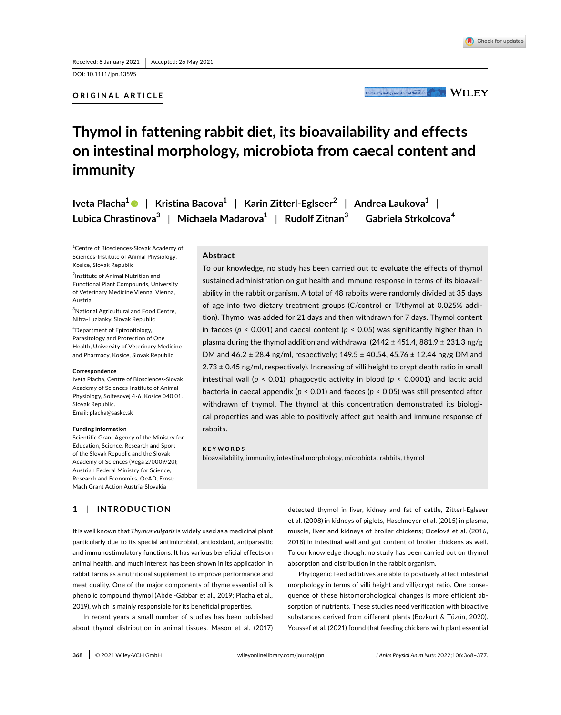DOI: 10.1111/jpn.13595

## ORIGINAL ARTICLE



Animal Physiology and Animal Nutrition MILEY

# $\bm{\Gamma}$ hymol in fattening rabbit diet, its bioavailability and effects on intestinal morphology, microbiota from caecal content and **immunity**

Iveta Placha<sup>1</sup> ● | Kristina Bacova<sup>1</sup> | Karin Zitterl-Eglseer<sup>2</sup> | Andrea Laukova<sup>1</sup> | Lubica Chrastinova $^3\;$   $\mid\;$  Michaela Madarova $^1\;$   $\mid\;$  Rudolf Zitnan $^3\;$   $\mid\;$  Gabriela Strkolcova $^4$ 

<sup>1</sup> Centre of Biosciences-Slovak Academy of Sciences-Institute of Animal Physiology, Kosice, Slovak Republic

<sup>2</sup>Institute of Animal Nutrition and Functional Plant Compounds, University of Veterinary Medicine Vienna, Vienna, Austria

<sup>3</sup>National Agricultural and Food Centre, Nitra- Luzianky, Slovak Republic

4 Department of Epizootiology, Parasitology and Protection of One Health, University of Veterinary Medicine and Pharmacy, Kosice, Slovak Republic

#### Correspondence

Iveta Placha, Centre of Biosciences-Slovak Academy of Sciences- Institute of Animal Physiology, Soltesovej 4-6, Kosice 040 01, Slovak Republic.

Email: placha@saske.sk

#### **Funding** information

Scientific Grant Agency of the Ministry for Education, Science, Research and Sport of the Slovak Republic and the Slovak Academy of Sciences (Vega 2/0009/20); Austrian Federal Ministry for Science, Research and Economics, OeAD, Ernst-Mach Grant Action Austria-Slovakia

# **1** | INTRODUCTION

It is well known that *Thymus vulgaris* is widely used as a medicinal plant particularly due to its special antimicrobial, antioxidant, antiparasitic and immunostimulatory functions. It has various beneficial effects on animal health, and much interest has been shown in its application in rabbit farms as a nutritional supplement to improve performance and meat quality. One of the major components of thyme essential oil is phenolic compound thymol (Abdel-Gabbar et al., 2019; Placha et al., 2019), which is mainly responsible for its beneficial properties.

In recent years a small number of studies has been published about thymol distribution in animal tissues. Mason et al. (2017)

Abstract

To our knowledge, no study has been carried out to evaluate the effects of thymol sustained administration on gut health and immune response in terms of its bioavailability in the rabbit organism. A total of 48 rabbits were randomly divided at 35 days of age into two dietary treatment groups (C/control or T/thymol at 0.025% addition). Thymol was added for 21 days and then withdrawn for 7 days. Thymol content in faeces (*p* < 0.001) and caecal content (*p* < 0.05) was significantly higher than in plasma during the thymol addition and withdrawal (2442  $\pm$  451.4, 881.9  $\pm$  231.3 ng/g DM and  $46.2 \pm 28.4$  ng/ml, respectively;  $149.5 \pm 40.54$ ,  $45.76 \pm 12.44$  ng/g DM and  $2.73 \pm 0.45$  ng/ml, respectively). Increasing of villi height to crypt depth ratio in small intestinal wall (*p* < 0.01), phagocytic activity in blood (*p* < 0.0001) and lactic acid bacteria in caecal appendix (*p* < 0.01) and faeces (*p* < 0.05) was still presented after withdrawn of thymol. The thymol at this concentration demonstrated its biological properties and was able to positively affect gut health and immune response of rabbits.

### **KEYWORDS**

bioavailability, immunity, intestinal morphology, microbiota, rabbits, thymol

detected thymol in liver, kidney and fat of cattle, Zitterl-Eglseer et al. (2008) in kidneys of piglets, Haselmeyer et al. (2015) in plasma, muscle, liver and kidneys of broiler chickens; Oceľová et al. (2016, 2018) in intestinal wall and gut content of broiler chickens as well. To our knowledge though, no study has been carried out on thymol absorption and distribution in the rabbit organism.

Phytogenic feed additives are able to positively affect intestinal morphology in terms of villi height and villi/crypt ratio. One consequence of these histomorphological changes is more efficient absorption of nutrients. These studies need verification with bioactive substances derived from different plants (Bozkurt & Tüzün, 2020). Youssef et al. (2021) found that feeding chickens with plant essential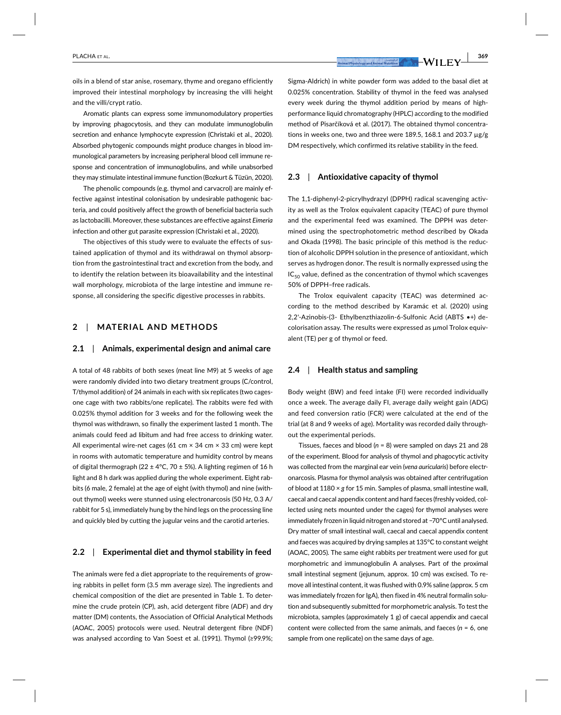**ƑՊ|ՊՊՍ** PLACHA ET AL.

oils in a blend of star anise, rosemary, thyme and oregano efficiently improved their intestinal morphology by increasing the villi height and the villi/crypt ratio.

Aromatic plants can express some immunomodulatory properties by improving phagocytosis, and they can modulate immunoglobulin secretion and enhance lymphocyte expression (Christaki et al., 2020). Absorbed phytogenic compounds might produce changes in blood immunological parameters by increasing peripheral blood cell immune response and concentration of immunoglobulins, and while unabsorbed they may stimulate intestinal immune function (Bozkurt & Tüzün, 2020).

The phenolic compounds (e.g. thymol and carvacrol) are mainly effective against intestinal colonisation by undesirable pathogenic bacteria, and could positively affect the growth of beneficial bacteria such as lactobacilli. Moreover, these substances are effective against *Eimeria* infection and other gut parasite expression (Christaki et al., 2020).

The objectives of this study were to evaluate the effects of sustained application of thymol and its withdrawal on thymol absorption from the gastrointestinal tract and excretion from the body, and to identify the relation between its bioavailability and the intestinal wall morphology, microbiota of the large intestine and immune response, all considering the specific digestive processes in rabbits.

### $2$  | MATERIAL AND METHODS

### $\mathbf{2.1}$  | Animals, experimental design and animal care

A total of 48 rabbits of both sexes (meat line M9) at 5 weeks of age were randomly divided into two dietary treatment groups (C/control, T/thymol addition) of 24 animals in each with six replicates (two cagesone cage with two rabbits/one replicate). The rabbits were fed with 0.025% thymol addition for 3 weeks and for the following week the thymol was withdrawn, so finally the experiment lasted 1 month. The animals could feed ad libitum and had free access to drinking water. All experimental wire-net cages (61 cm × 34 cm × 33 cm) were kept in rooms with automatic temperature and humidity control by means of digital thermograph (22  $\pm$  4°C, 70  $\pm$  5%). A lighting regimen of 16 h light and 8 h dark was applied during the whole experiment. Eight rabbits (6 male, 2 female) at the age of eight (with thymol) and nine (without thymol) weeks were stunned using electronarcosis (50 Hz, 0.3 A/ rabbit for 5 s), immediately hung by the hind legs on the processing line and quickly bled by cutting the jugular veins and the carotid arteries.

### $\blacksquare$  2.2  $\blacksquare$  **Experimental diet and thymol stability in feed**

The animals were fed a diet appropriate to the requirements of growing rabbits in pellet form (3.5 mm average size). The ingredients and chemical composition of the diet are presented in Table 1. To determine the crude protein (CP), ash, acid detergent fibre (ADF) and dry matter (DM) contents, the Association of Official Analytical Methods (AOAC, 2005) protocols were used. Neutral detergent fibre (NDF) was analysed according to Van Soest et al. (1991). Thymol (≥99.9%;

Sigma- Aldrich) in white powder form was added to the basal diet at 0.025% concentration. Stability of thymol in the feed was analysed every week during the thymol addition period by means of highperformance liquid chromatography (HPLC) according to the modified method of Pisarčíková et al. (2017). The obtained thymol concentrations in weeks one, two and three were 189.5, 168.1 and 203.7  $\mu$ g/g DM respectively, which confirmed its relative stability in the feed.

# **2.3** | Antioxidative capacity of thymol

The 1,1-diphenyl-2-picrylhydrazyl (DPPH) radical scavenging activity as well as the Trolox equivalent capacity (TEAC) of pure thymol and the experimental feed was examined. The DPPH was determined using the spectrophotometric method described by Okada and Okada (1998). The basic principle of this method is the reduction of alcoholic DPPH solution in the presence of antioxidant, which serves as hydrogen donor. The result is normally expressed using the  $IC_{50}$  value, defined as the concentration of thymol which scavenges 50% of DPPH-free radicals.

The Trolox equivalent capacity (TEAC) was determined according to the method described by Karamác et al. (2020) using 2,2'-Azinobis-(3- Ethylbenzthiazolin-6-Sulfonic Acid (ABTS •+) de- $\epsilon$ olorisation assay. The results were expressed as  $\mu$ mol Trolox equivalent (TE) per g of thymol or feed.

### **2.4** | Health status and sampling

Body weight (BW) and feed intake (FI) were recorded individually once a week. The average daily FI, average daily weight gain (ADG) and feed conversion ratio (FCR) were calculated at the end of the trial (at 8 and 9 weeks of age). Mortality was recorded daily throughout the experimental periods.

Tissues, faeces and blood (*n* = 8) were sampled on days 21 and 28 of the experiment. Blood for analysis of thymol and phagocytic activity was collected from the marginal ear vein (*vena auricularis*) before electronarcosis. Plasma for thymol analysis was obtained after centrifugation of blood at  $1180 \times g$  for 15 min. Samples of plasma, small intestine wall, caecal and caecal appendix content and hard faeces (freshly voided, collected using nets mounted under the cages) for thymol analyses were immediately frozen in liquid nitrogen and stored at –70°C until analysed. Dry matter of small intestinal wall, caecal and caecal appendix content and faeces was acquired by drying samples at 135°C to constant weight (AOAC, 2005). The same eight rabbits per treatment were used for gut morphometric and immunoglobulin A analyses. Part of the proximal small intestinal segment (jejunum, approx. 10 cm) was excised. To remove all intestinal content, it was flushed with 0.9% saline (approx. 5 cm was immediately frozen for IgA), then fixed in 4% neutral formalin solution and subsequently submitted for morphometric analysis. To test the microbiota, samples (approximately 1 g) of caecal appendix and caecal content were collected from the same animals, and faeces  $(n = 6,$  one sample from one replicate) on the same days of age.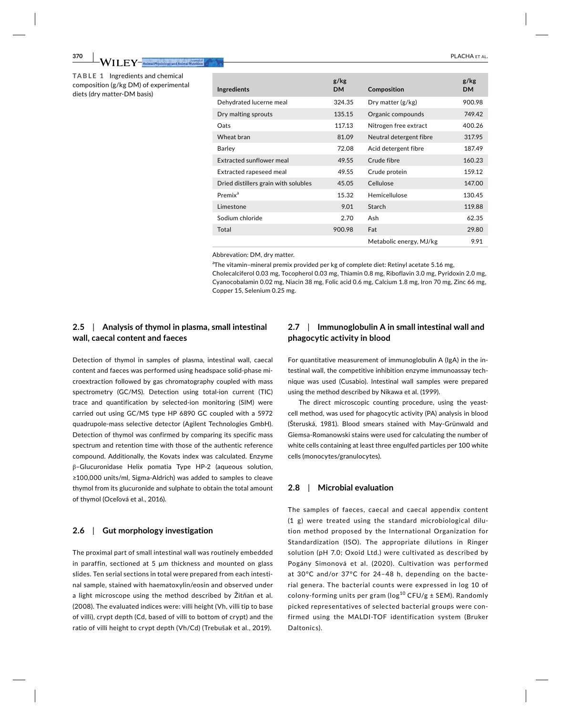**PLACHA** ET AL. **MALLET AL.** Summit **AL. A FILACHA ET AL. PLACHA ET AL. 370** PLACHA ET AL.

**TABLE 1** Ingredients and chemical composition (g/kg DM) of experimental diets (drv matter-DM basis)

| Ingredients                          | g/kg<br><b>DM</b> | Composition             | g/kg<br><b>DM</b> |
|--------------------------------------|-------------------|-------------------------|-------------------|
| Dehydrated lucerne meal              | 324.35            | Dry matter $(g/kg)$     | 900.98            |
| Dry malting sprouts                  | 135.15            | Organic compounds       | 749.42            |
| Oats                                 | 117.13            | Nitrogen free extract   | 400.26            |
| Wheat bran                           | 81.09             | Neutral detergent fibre | 317.95            |
| Barley                               | 72.08             | Acid detergent fibre    | 187.49            |
| Extracted sunflower meal             | 49.55             | Crude fibre             | 160.23            |
| Extracted rapeseed meal              | 49.55             | Crude protein           | 159.12            |
| Dried distillers grain with solubles | 45.05             | Cellulose               | 147.00            |
| Premix <sup>a</sup>                  | 15.32             | Hemicellulose           | 130.45            |
| Limestone                            | 9.01              | Starch                  | 119.88            |
| Sodium chloride                      | 2.70              | Ash                     | 62.35             |
| Total                                | 900.98            | Fat                     | 29.80             |
|                                      |                   | Metabolic energy, MJ/kg | 9.91              |

Abbrevation: DM, dry matter.

<sup>a</sup>The vitamin-mineral premix provided per kg of complete diet: Retinyl acetate 5.16 mg,

Cholecalciferol 0.03 mg, Tocopherol 0.03 mg, Thiamin 0.8 mg, Riboflavin 3.0 mg, Pyridoxin 2.0 mg, Cyanocobalamin 0.02 mg, Niacin 38 mg, Folic acid 0.6 mg, Calcium 1.8 mg, Iron 70 mg, Zinc 66 mg, Copper 15, Selenium 0.25 mg.

# **2.5** | Analysis of thymol in plasma, small intestinal **wall, caecal content and faeces**

Detection of thymol in samples of plasma, intestinal wall, caecal content and faeces was performed using headspace solid-phase microextraction followed by gas chromatography coupled with mass spectrometry (GC/MS). Detection using total-ion current (TIC) trace and quantification by selected-ion monitoring (SIM) were carried out using GC/MS type HP 6890 GC coupled with a 5972 quadrupole-mass selective detector (Agilent Technologies GmbH). Detection of thymol was confirmed by comparing its specific mass spectrum and retention time with those of the authentic reference compound. Additionally, the Kovats index was calculated. Enzyme  $β$ -Glucuronidase Helix pomatia Type HP-2 (aqueous solution, ≥100,000 units/ml, Sigma-Aldrich) was added to samples to cleave thymol from its glucuronide and sulphate to obtain the total amount of thymol (Oceľová et al., 2016).

## $2.6$  | Gut morphology investigation

The proximal part of small intestinal wall was routinely embedded in paraffin, sectioned at 5  $\mu$ m thickness and mounted on glass slides. Ten serial sections in total were prepared from each intestinal sample, stained with haematoxylin/eosin and observed under a light microscope using the method described by Zitňan et al. (2008). The evaluated indices were: villi height (Vh, villi tip to base of villi), crypt depth (Cd, based of villi to bottom of crypt) and the ratio of villi height to crypt depth (Vh/Cd) (Trebušak et al., 2019).

# **2.7** | Immunoglobulin A in small intestinal wall and **phagocytic activity in blood**

For quantitative measurement of immunoglobulin A (IgA) in the intestinal wall, the competitive inhibition enzyme immunoassay technique was used (Cusabio). Intestinal wall samples were prepared using the method described by Nikawa et al. (1999).

The direct microscopic counting procedure, using the yeastcell method, was used for phagocytic activity (PA) analysis in blood (Steruská, 1981). Blood smears stained with May-Grünwald and Giemsa- Romanowski stains were used for calculating the number of white cells containing at least three engulfed particles per 100 white cells (monocytes/granulocytes).

### **2.8** | Microbial evaluation

The samples of faeces, caecal and caecal appendix content (1 g) were treated using the standard microbiological dilution method proposed by the International Organization for Standardization (ISO). The appropriate dilutions in Ringer solution (pH 7.0; Oxoid Ltd.) were cultivated as described by Pogány Simonová et al. (2020). Cultivation was performed at 30°C and/or 37°C for 24– 48 h, depending on the bacterial genera. The bacterial counts were expressed in log 10 of colony-forming units per gram ( $log^{10}$  CFU/g  $\pm$  SEM). Randomly picked representatives of selected bacterial groups were confirmed using the MALDI-TOF identification system (Bruker Daltonics).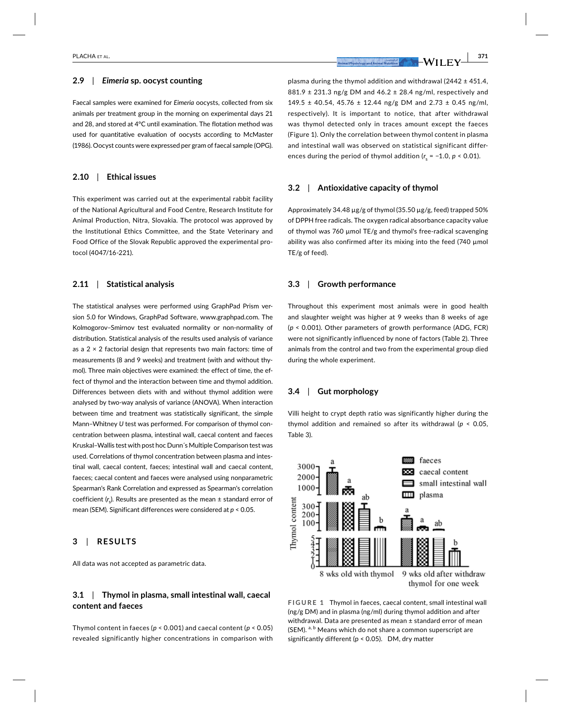### $2.9$  | *Eimeria* sp. oocyst counting

Faecal samples were examined for *Eimeria* oocysts, collected from six animals per treatment group in the morning on experimental days 21 and 28, and stored at 4°C until examination. The flotation method was used for quantitative evaluation of oocysts according to McMaster (1986). Oocyst counts were expressed per gram of faecal sample (OPG).

### $2.10$  | Ethical issues

This experiment was carried out at the experimental rabbit facility of the National Agricultural and Food Centre, Research Institute for Animal Production, Nitra, Slovakia. The protocol was approved by the Institutional Ethics Committee, and the State Veterinary and Food Office of the Slovak Republic approved the experimental pro tocol (4047/16-221).

## **2.11** | Statistical analysis

The statistical analyses were performed using GraphPad Prism version 5.0 for Windows, GraphPad Software, www.graphpad.com. The Kolmogorov-Smirnov test evaluated normality or non-normality of distribution. Statistical analysis of the results used analysis of variance as a 2  $\times$  2 factorial design that represents two main factors: time of measurements (8 and 9 weeks) and treatment (with and without thymol). Three main objectives were examined: the effect of time, the effect of thymol and the interaction between time and thymol addition. Differences between diets with and without thymol addition were analysed by two-way analysis of variance (ANOVA). When interaction between time and treatment was statistically significant, the simple Mann-Whitney *U* test was performed. For comparison of thymol concentration between plasma, intestinal wall, caecal content and faeces Kruskal– Wallis test with post hoc Dunn´s Multiple Comparison test was used. Correlations of thymol concentration between plasma and intestinal wall, caecal content, faeces; intestinal wall and caecal content, faeces; caecal content and faeces were analysed using nonparametric Spearman's Rank Correlation and expressed as Spearman's correlation coefficient (r<sub>s</sub>). Results are presented as the mean ± standard error of mean (SEM). Significant differences were considered at *p* < 0.05.

### $3$  | RESULTS

All data was not accepted as parametric data.

# **3.1** | Thymol in plasma, small intestinal wall, caecal  $\epsilon$ ontent and faeces

Thymol content in faeces (*p* < 0.001) and caecal content (*p* < 0.05) revealed significantly higher concentrations in comparison with

plasma during the thymol addition and withdrawal (2442  $\pm$  451.4,  $881.9 \pm 231.3$  ng/g DM and  $46.2 \pm 28.4$  ng/ml, respectively and  $149.5 \pm 40.54$ ,  $45.76 \pm 12.44$  ng/g DM and  $2.73 \pm 0.45$  ng/ml, respectively). It is important to notice, that after withdrawal was thymol detected only in traces amount except the faeces (Figure 1). Only the correlation between thymol content in plasma and intestinal wall was observed on statistical significant differences during the period of thymol addition ( $r_{\rm s}$  = –1.0,  $p$  < 0.01).

# **3.2** | Antioxidative capacity of thymol

Approximately 34.48 μg/g of thymol (35.50 μg/g, feed) trapped 50% of DPPH free radicals. The oxygen radical absorbance capacity value of thymol was 760  $\mu$ mol TE/g and thymol's free-radical scavenging ability was also confirmed after its mixing into the feed (740  $\mu$ mol TE/g of feed).

### **3.3** Srowth performance

Throughout this experiment most animals were in good health and slaughter weight was higher at 9 weeks than 8 weeks of age (*p* < 0.001). Other parameters of growth performance (ADG, FCR) were not significantly influenced by none of factors (Table 2). Three animals from the control and two from the experimental group died during the whole experiment.

#### **3.4** | *<u>Gut morphology</u>*

Villi height to crypt depth ratio was significantly higher during the thymol addition and remained so after its withdrawal (*p* < 0.05, Table 3).



**FIGURE 1 Thymol in faeces, caecal content, small intestinal wall** (ng/g DM) and in plasma (ng/ml) during thymol addition and after withdrawal. Data are presented as mean ± standard error of mean (SEM).  $a, b$  Means which do not share a common superscript are significantly different ( $p < 0.05$ ). DM, dry matter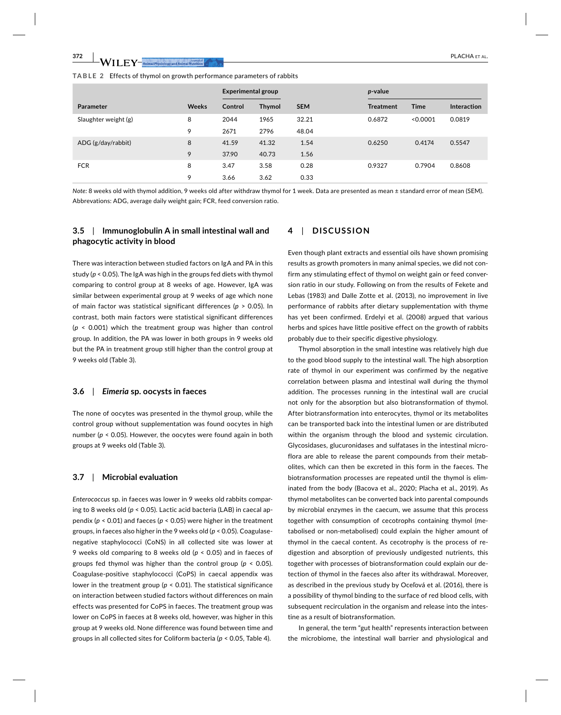**PLACHA** ET AL. **MALLET AL. MULLET AL.** ALLET AL. **MULLET AL. PLACHA ET AL.** 

#### **TABLE 2 Effects of thymol on growth performance parameters of rabbits**

|                      |              | <b>Experimental group</b> |               |            | <i>p</i> -value  |             |                    |
|----------------------|--------------|---------------------------|---------------|------------|------------------|-------------|--------------------|
| <b>Parameter</b>     | <b>Weeks</b> | Control                   | <b>Thymol</b> | <b>SEM</b> | <b>Treatment</b> | <b>Time</b> | <b>Interaction</b> |
| Slaughter weight (g) | 8            | 2044                      | 1965          | 32.21      | 0.6872           | < 0.0001    | 0.0819             |
|                      | 9            | 2671                      | 2796          | 48.04      |                  |             |                    |
| ADG (g/day/rabbit)   | 8            | 41.59                     | 41.32         | 1.54       | 0.6250           | 0.4174      | 0.5547             |
|                      | 9            | 37.90                     | 40.73         | 1.56       |                  |             |                    |
| <b>FCR</b>           | 8            | 3.47                      | 3.58          | 0.28       | 0.9327           | 0.7904      | 0.8608             |
|                      | 9            | 3.66                      | 3.62          | 0.33       |                  |             |                    |

*Note:* 8 weeks old with thymol addition, 9 weeks old after withdraw thymol for 1 week. Data are presented as mean ± standard error of mean (SEM). Abbrevations: ADG, average daily weight gain; FCR, feed conversion ratio.

# **3.5**  $\parallel$  Immunoglobulin A in small intestinal wall and **phagocytic activity in blood**

There was interaction between studied factors on IgA and PA in this study (*p* < 0.05). The IgA was high in the groups fed diets with thymol comparing to control group at 8 weeks of age. However, IgA was similar between experimental group at 9 weeks of age which none of main factor was statistical significant differences (p > 0.05). In contrast, both main factors were statistical significant differences (*p* < 0.001) which the treatment group was higher than control group. In addition, the PA was lower in both groups in 9 weeks old but the PA in treatment group still higher than the control group at 9 weeks old (Table 3).

### **3.6** | Eimeria sp. oocysts in faeces

The none of oocytes was presented in the thymol group, while the control group without supplementation was found oocytes in high number (*p* < 0.05). However, the oocytes were found again in both groups at 9 weeks old (Table 3).

### $3.7$  | Microbial evaluation

*Enterococcus* sp. in faeces was lower in 9 weeks old rabbits comparing to 8 weeks old (*p* < 0.05). Lactic acid bacteria (LAB) in caecal appendix (*p* < 0.01) and faeces (*p* < 0.05) were higher in the treatment groups, in faeces also higher in the 9 weeks old (*p* < 0.05). Coagulasenegative staphylococci (CoNS) in all collected site was lower at 9 weeks old comparing to 8 weeks old (*p* < 0.05) and in faeces of groups fed thymol was higher than the control group (*p* < 0.05). Coagulase-positive staphylococci (CoPS) in caecal appendix was lower in the treatment group (*p* < 0.01). The statistical significance on interaction between studied factors without differences on main effects was presented for CoPS in faeces. The treatment group was lower on CoPS in faeces at 8 weeks old, however, was higher in this group at 9 weeks old. None difference was found between time and groups in all collected sites for Coliform bacteria (*p* < 0.05, Table 4).

## **4** | DISCUSSION

Even though plant extracts and essential oils have shown promising results as growth promoters in many animal species, we did not confirm any stimulating effect of thymol on weight gain or feed conversion ratio in our study. Following on from the results of Fekete and Lebas (1983) and Dalle Zotte et al. (2013), no improvement in live performance of rabbits after dietary supplementation with thyme has yet been confirmed. Erdelyi et al. (2008) argued that various herbs and spices have little positive effect on the growth of rabbits probably due to their specific digestive physiology.

Thymol absorption in the small intestine was relatively high due to the good blood supply to the intestinal wall. The high absorption rate of thymol in our experiment was confirmed by the negative correlation between plasma and intestinal wall during the thymol addition. The processes running in the intestinal wall are crucial not only for the absorption but also biotransformation of thymol. After biotransformation into enterocytes, thymol or its metabolites can be transported back into the intestinal lumen or are distributed within the organism through the blood and systemic circulation. Glycosidases, glucuronidases and sulfatases in the intestinal microflora are able to release the parent compounds from their metabolites, which can then be excreted in this form in the faeces. The biotransformation processes are repeated until the thymol is eliminated from the body (Bacova et al., 2020; Placha et al., 2019). As thymol metabolites can be converted back into parental compounds by microbial enzymes in the caecum, we assume that this process together with consumption of cecotrophs containing thymol (metabolised or non-metabolised) could explain the higher amount of thymol in the caecal content. As cecotrophy is the process of redigestion and absorption of previously undigested nutrients, this together with processes of biotransformation could explain our detection of thymol in the faeces also after its withdrawal. Moreover, as described in the previous study by Oceľová et al. (2016), there is a possibility of thymol binding to the surface of red blood cells, with subsequent recirculation in the organism and release into the intestine as a result of biotransformation.

In general, the term "gut health" represents interaction between the microbiome, the intestinal wall barrier and physiological and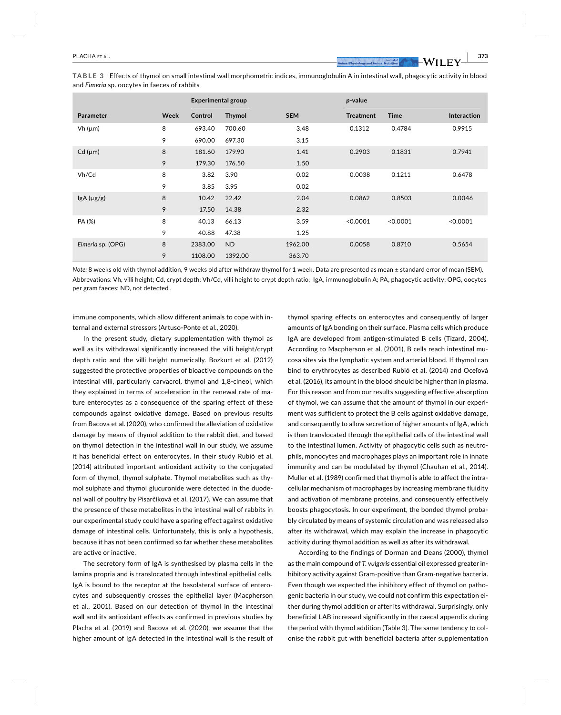ТАВLЕ З Effects of thymol on small intestinal wall morphometric indices, immunoglobulin A in intestinal wall, phagocytic activity in blood and *Eimeria* sp. oocytes in faeces of rabbits

|                   |      | <b>Experimental group</b> |                |            | p-value          |             |                    |
|-------------------|------|---------------------------|----------------|------------|------------------|-------------|--------------------|
| <b>Parameter</b>  | Week | Control                   | <b>Thymol</b>  | <b>SEM</b> | <b>Treatment</b> | <b>Time</b> | <b>Interaction</b> |
| $Vh(\mu m)$       | 8    | 693.40                    | 700.60         | 3.48       | 0.1312           | 0.4784      | 0.9915             |
|                   | 9    | 690.00                    | 697.30         | 3.15       |                  |             |                    |
| $Cd$ ( $\mu$ m)   | 8    | 181.60                    | 179.90         | 1.41       | 0.2903           | 0.1831      | 0.7941             |
|                   | 9    | 179.30                    | 176.50         | 1.50       |                  |             |                    |
| Vh/Cd             | 8    | 3.82                      | 3.90           | 0.02       | 0.0038           | 0.1211      | 0.6478             |
|                   | 9    | 3.85                      | 3.95           | 0.02       |                  |             |                    |
| lgA (µg/g)        | 8    | 10.42                     | 22.42          | 2.04       | 0.0862           | 0.8503      | 0.0046             |
|                   | 9    | 17.50                     | 14.38          | 2.32       |                  |             |                    |
| PA (%)            | 8    | 40.13                     | 66.13          | 3.59       | < 0.0001         | < 0.0001    | < 0.0001           |
|                   | 9    | 40.88                     | 47.38          | 1.25       |                  |             |                    |
| Eimeria sp. (OPG) | 8    | 2383.00                   | N <sub>D</sub> | 1962.00    | 0.0058           | 0.8710      | 0.5654             |
|                   | 9    | 1108.00                   | 1392.00        | 363.70     |                  |             |                    |

*Note:* 8 weeks old with thymol addition, 9 weeks old after withdraw thymol for 1 week. Data are presented as mean ± standard error of mean (SEM). Abbrevations: Vh, villi height; Cd, crypt depth; Vh/Cd, villi height to crypt depth ratio; IgA, immunoglobulin A; PA, phagocytic activity; OPG, oocytes per gram faeces; ND, not detected .

immune components, which allow different animals to cope with internal and external stressors (Artuso- Ponte et al., 2020).

In the present study, dietary supplementation with thymol as well as its withdrawal significantly increased the villi height/crypt depth ratio and the villi height numerically. Bozkurt et al. (2012) suggested the protective properties of bioactive compounds on the intestinal villi, particularly carvacrol, thymol and 1,8-cineol, which they explained in terms of acceleration in the renewal rate of mature enterocytes as a consequence of the sparing effect of these compounds against oxidative damage. Based on previous results from Bacova et al. (2020), who confirmed the alleviation of oxidative damage by means of thymol addition to the rabbit diet, and based on thymol detection in the intestinal wall in our study, we assume it has beneficial effect on enterocytes. In their study Rubió et al. (2014) attributed important antioxidant activity to the conjugated form of thymol, thymol sulphate. Thymol metabolites such as thymol sulphate and thymol glucuronide were detected in the duodenal wall of poultry by Pisarčíková et al. (2017). We can assume that the presence of these metabolites in the intestinal wall of rabbits in our experimental study could have a sparing effect against oxidative damage of intestinal cells. Unfortunately, this is only a hypothesis, because it has not been confirmed so far whether these metabolites are active or inactive.

The secretory form of IgA is synthesised by plasma cells in the lamina propria and is translocated through intestinal epithelial cells. IgA is bound to the receptor at the basolateral surface of enterocytes and subsequently crosses the epithelial layer (Macpherson et al., 2001). Based on our detection of thymol in the intestinal wall and its antioxidant effects as confirmed in previous studies by Placha et al. (2019) and Bacova et al. (2020), we assume that the higher amount of IgA detected in the intestinal wall is the result of

thymol sparing effects on enterocytes and consequently of larger amounts of IgA bonding on their surface. Plasma cells which produce IgA are developed from antigen- stimulated B cells (Tizard, 2004). According to Macpherson et al. (2001), B cells reach intestinal mucosa sites via the lymphatic system and arterial blood. If thymol can bind to erythrocytes as described Rubió et al. (2014) and Oceľová et al. (2016), its amount in the blood should be higher than in plasma. For this reason and from our results suggesting effective absorption of thymol, we can assume that the amount of thymol in our experiment was sufficient to protect the B cells against oxidative damage, and consequently to allow secretion of higher amounts of IgA, which is then translocated through the epithelial cells of the intestinal wall to the intestinal lumen. Activity of phagocytic cells such as neutrophils, monocytes and macrophages plays an important role in innate immunity and can be modulated by thymol (Chauhan et al., 2014). Muller et al. (1989) confirmed that thymol is able to affect the intracellular mechanism of macrophages by increasing membrane fluidity and activation of membrane proteins, and consequently effectively boosts phagocytosis. In our experiment, the bonded thymol probably circulated by means of systemic circulation and was released also after its withdrawal, which may explain the increase in phagocytic activity during thymol addition as well as after its withdrawal.

According to the findings of Dorman and Deans (2000), thymol as the main compound of *T. vulgaris* essential oil expressed greater inhibitory activity against Gram-positive than Gram-negative bacteria. Even though we expected the inhibitory effect of thymol on pathogenic bacteria in our study, we could not confirm this expectation either during thymol addition or after its withdrawal. Surprisingly, only beneficial LAB increased significantly in the caecal appendix during the period with thymol addition (Table 3). The same tendency to colonise the rabbit gut with beneficial bacteria after supplementation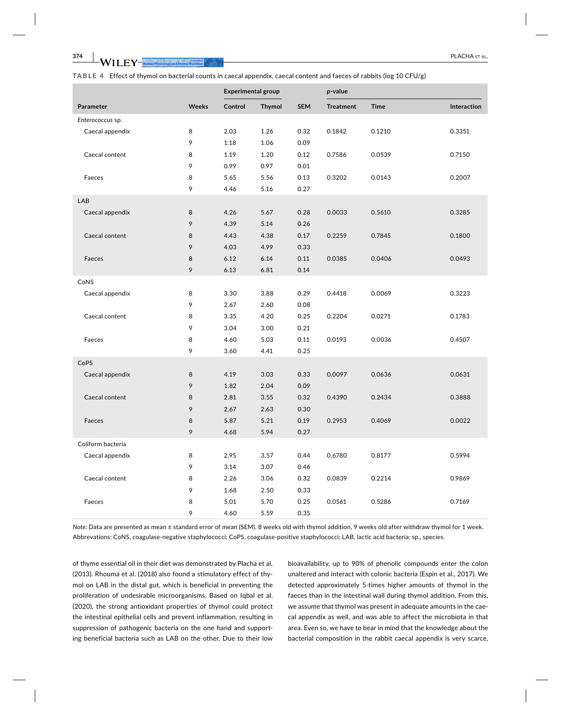**II** FY-animal Physiology and Animal Nutrition

TABLE 4 Effect of thymol on bacterial counts in caecal appendix, caecal content and faeces of rabbits (log 10 CFU/g)

|                   |              | <b>Experimental group</b> |               | p-value    |                  |             |             |
|-------------------|--------------|---------------------------|---------------|------------|------------------|-------------|-------------|
| Parameter         | <b>Weeks</b> | Control                   | <b>Thymol</b> | <b>SEM</b> | <b>Treatment</b> | <b>Time</b> | Interaction |
| Enterococcus sp.  |              |                           |               |            |                  |             |             |
| Caecal appendix   | 8            | 2.03                      | 1.26          | 0.32       | 0.1842           | 0.1210      | 0.3351      |
|                   | 9            | 1.18                      | 1.06          | 0.09       |                  |             |             |
| Caecal content    | 8            | 1.19                      | 1.20          | 0.12       | 0.7586           | 0.0539      | 0.7150      |
|                   | 9            | 0.99                      | 0.97          | 0.01       |                  |             |             |
| Faeces            | 8            | 5.65                      | 5.56          | 0.13       | 0.3202           | 0.0143      | 0.2007      |
|                   | 9            | 4.46                      | 5.16          | 0.27       |                  |             |             |
| LAB               |              |                           |               |            |                  |             |             |
| Caecal appendix   | 8            | 4.26                      | 5.67          | 0.28       | 0.0033           | 0.5610      | 0.3285      |
|                   | 9            | 4.39                      | 5.14          | 0.26       |                  |             |             |
| Caecal content    | 8            | 4.43                      | 4.38          | 0.17       | 0.2259           | 0.7845      | 0.1800      |
|                   | 9            | 4.03                      | 4.99          | 0.33       |                  |             |             |
| Faeces            | 8            | 6.12                      | 6.14          | 0.11       | 0.0385           | 0.0406      | 0.0493      |
|                   | 9            | 6.13                      | 6.81          | 0.14       |                  |             |             |
| CoNS              |              |                           |               |            |                  |             |             |
| Caecal appendix   | 8            | 3.30                      | 3.88          | 0.29       | 0.4418           | 0.0069      | 0.3223      |
|                   | 9            | 2.67                      | 2.60          | 0.08       |                  |             |             |
| Caecal content    | 8            | 3.35                      | 4.20          | 0.25       | 0.2204           | 0.0271      | 0.1783      |
|                   | 9            | 3.04                      | 3.00          | 0.21       |                  |             |             |
| Faeces            | 8            | 4.60                      | 5.03          | 0.11       | 0.0193           | 0.0036      | 0.4507      |
|                   | 9            | 3.60                      | 4.41          | 0.25       |                  |             |             |
| CoPS              |              |                           |               |            |                  |             |             |
| Caecal appendix   | 8            | 4.19                      | 3.03          | 0.33       | 0.0097           | 0.0636      | 0.0631      |
|                   | 9            | 1.82                      | 2.04          | 0.09       |                  |             |             |
| Caecal content    | 8            | 2.81                      | 3.55          | 0.32       | 0.4390           | 0.2434      | 0.3888      |
|                   | 9            | 2.67                      | 2.63          | 0.30       |                  |             |             |
| Faeces            | 8            | 5.87                      | 5.21          | 0.19       | 0.2953           | 0.4069      | 0.0022      |
|                   | 9            | 4.68                      | 5.94          | 0.27       |                  |             |             |
| Coliform bacteria |              |                           |               |            |                  |             |             |
| Caecal appendix   | 8            | 2.95                      | 3.57          | 0.44       | 0.6780           | 0.8177      | 0.5994      |
|                   | 9            | 3.14                      | 3.07          | 0.46       |                  |             |             |
| Caecal content    | 8            | 2.26                      | 3.06          | 0.32       | 0.0839           | 0.2214      | 0.9869      |
|                   | 9            | 1.68                      | 2.50          | 0.33       |                  |             |             |
| Faeces            | 8            | 5.01                      | 5.70          | 0.25       | 0.0561           | 0.5286      | 0.7169      |
|                   | 9            | 4.60                      | 5.59          | 0.35       |                  |             |             |

Note: Data are presented as mean ± standard error of mean (SEM). 8 weeks old with thymol addition, 9 weeks old after withdraw thymol for 1 week. Abbrevations: CoNS, coagulase-negative staphylococci; CoPS, coagulase-positive staphylococci; LAB, lactic acid bacteria; sp., species.

of thyme essential oil in their diet was demonstrated by Placha et al. (2013). Rhouma et al. (2018) also found a stimulatory effect of thymol on LAB in the distal gut, which is beneficial in preventing the proliferation of undesirable microorganisms. Based on Iqbal et al. (2020), the strong antioxidant properties of thymol could protect the intestinal epithelial cells and prevent inflammation, resulting in suppression of pathogenic bacteria on the one hand and supporting beneficial bacteria such as LAB on the other. Due to their low bioavailability, up to 90% of phenolic compounds enter the colon unaltered and interact with colonic bacteria (Espín et al., 2017). We detected approximately 5-times higher amounts of thymol in the faeces than in the intestinal wall during thymol addition. From this, we assume that thymol was present in adequate amounts in the caecal appendix as well, and was able to affect the microbiota in that area. Even so, we have to bear in mind that the knowledge about the bacterial composition in the rabbit caecal appendix is very scarce,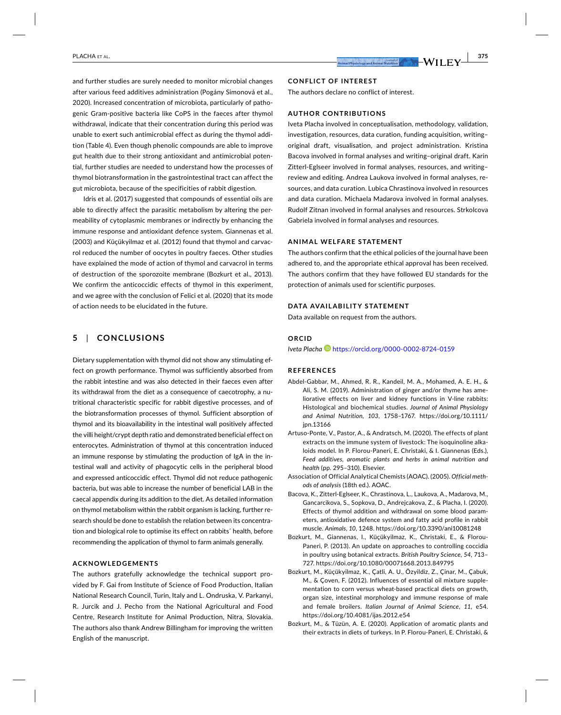**CONFLICT OF INTEREST** The authors declare no conflict of interest.

### **AUTHOR CONTRIBUTIONS**

Iveta Placha involved in conceptualisation, methodology, validation, investigation, resources, data curation, funding acquisition, writing– original draft, visualisation, and project administration. Kristina Bacova involved in formal analyses and writing– original draft. Karin Zitterl-Eglseer involved in formal analyses, resources, and writingreview and editing. Andrea Laukova involved in formal analyses, resources, and data curation. Lubica Chrastinova involved in resources and data curation. Michaela Madarova involved in formal analyses. Rudolf Zitnan involved in formal analyses and resources. Strkolcova Gabriela involved in formal analyses and resources.

### ANIMAL WELFARE STATEMENT

The authors confirm that the ethical policies of the journal have been adhered to, and the appropriate ethical approval has been received. The authors confirm that they have followed EU standards for the protection of animals used for scientific purposes.

#### DATA AVAILABILITY STATEMENT

Data available on request from the authors.

### **ORCID**

*Iveta Placha* https://orcid.org/0000-0002-8724-0159

### REFERENCES

- Abdel- Gabbar, M., Ahmed, R. R., Kandeil, M. A., Mohamed, A. E. H., & Ali, S. M. (2019). Administration of ginger and/or thyme has ameliorative effects on liver and kidney functions in V-line rabbits: Histological and biochemical studies. *Journal of Animal Physiology*  and Animal Nutrition, 103, 1758–1767. https://doi.org/10.1111/ jpn.13166
- Artuso-Ponte, V., Pastor, A., & Andratsch, M. (2020). The effects of plant extracts on the immune system of livestock: The isoquinoline alkaloids model. In P. Florou- Paneri, E. Christaki, & I. Giannenas (Eds.), *Feed additives, aromatic plants and herbs in animal nutrition and health* (pp. 295– 310). Elsevier.
- Association of Official Analytical Chemists (AOAC). (2005). *Official methods of analysis* (18th ed.). AOAC.
- Bacova, K., Zitterl- Eglseer, K., Chrastinova, L., Laukova, A., Madarova, M., Gancarcikova, S., Sopkova, D., Andrejcakova, Z., & Placha, I. (2020). Effects of thymol addition and withdrawal on some blood parameters, antioxidative defence system and fatty acid profile in rabbit muscle. *Animals*, *10*, 1248. https://doi.org/10.3390/ani10 081248
- Bozkurt, M., Giannenas, I., Küçükyilmaz, K., Christaki, E., & Florou-Paneri, P. (2013). An update on approaches to controlling coccidia in poultry using botanical extracts. *British Poultry Science*, *54*, 713– 727. https://doi.org/10.1080/00071668.2013.849795
- Bozkurt, M., Küçükyilmaz, K., Çatli, A. U., Özyildiz, Z., Çinar, M., Çabuk, M., & Çoven, F. (2012). Influences of essential oil mixture supplementation to corn versus wheat- based practical diets on growth, organ size, intestinal morphology and immune response of male and female broilers. *Italian Journal of Animal Science*, *11*, e54. https://doi.org/10.4081/ijas.2012.e54
- Bozkurt, M., & Tüzün, A. E. (2020). Application of aromatic plants and their extracts in diets of turkeys. In P. Florou- Paneri, E. Christaki, &

and further studies are surely needed to monitor microbial changes after various feed additives administration (Pogány Simonová et al., 2020). Increased concentration of microbiota, particularly of pathogenic Gram-positive bacteria like CoPS in the faeces after thymol withdrawal, indicate that their concentration during this period was unable to exert such antimicrobial effect as during the thymol addition (Table 4). Even though phenolic compounds are able to improve gut health due to their strong antioxidant and antimicrobial potential, further studies are needed to understand how the processes of thymol biotransformation in the gastrointestinal tract can affect the gut microbiota, because of the specificities of rabbit digestion.

Idris et al. (2017) suggested that compounds of essential oils are able to directly affect the parasitic metabolism by altering the permeability of cytoplasmic membranes or indirectly by enhancing the immune response and antioxidant defence system. Giannenas et al. (2003) and Küçükyilmaz et al. (2012) found that thymol and carvacrol reduced the number of oocytes in poultry faeces. Other studies have explained the mode of action of thymol and carvacrol in terms of destruction of the sporozoite membrane (Bozkurt et al., 2013). We confirm the anticoccidic effects of thymol in this experiment, and we agree with the conclusion of Felici et al. (2020) that its mode of action needs to be elucidated in the future.

### **5** | CONCLUSIONS

Dietary supplementation with thymol did not show any stimulating effect on growth performance. Thymol was sufficiently absorbed from the rabbit intestine and was also detected in their faeces even after its withdrawal from the diet as a consequence of caecotrophy, a nutritional characteristic specific for rabbit digestive processes, and of the biotransformation processes of thymol. Sufficient absorption of thymol and its bioavailability in the intestinal wall positively affected the villi height/crypt depth ratio and demonstrated beneficial effect on enterocytes. Administration of thymol at this concentration induced an immune response by stimulating the production of IgA in the intestinal wall and activity of phagocytic cells in the peripheral blood and expressed anticoccidic effect. Thymol did not reduce pathogenic bacteria, but was able to increase the number of beneficial LAB in the caecal appendix during its addition to the diet. As detailed information on thymol metabolism within the rabbit organism is lacking, further research should be done to establish the relation between its concentration and biological role to optimise its effect on rabbits´ health, before recommending the application of thymol to farm animals generally.

### **ACKNOWLEDGEMENTS**

The authors gratefully acknowledge the technical support provided by F. Gai from Institute of Science of Food Production, Italian National Research Council, Turin, Italy and L. Ondruska, V. Parkanyi, R. Jurcik and J. Pecho from the National Agricultural and Food Centre, Research Institute for Animal Production, Nitra, Slovakia. The authors also thank Andrew Billingham for improving the written English of the manuscript.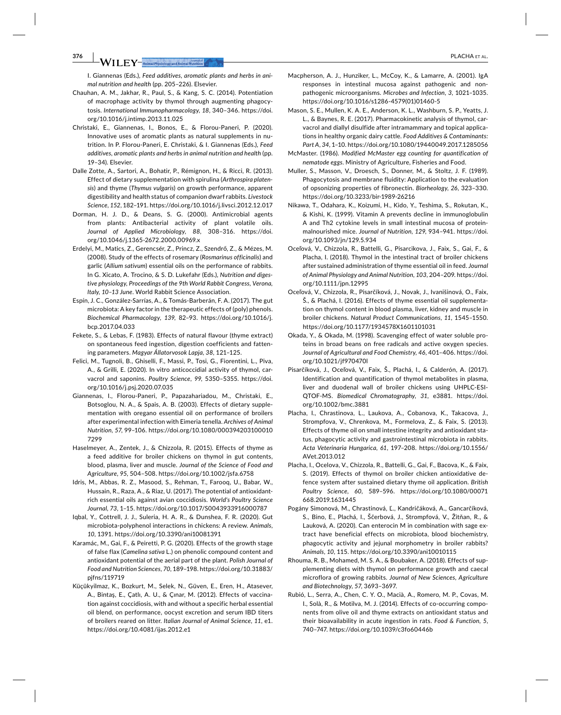$\mathcal{N}\text{H}\ \text{F}\text{Y}$  – Animal Physiology and Animal Nu

I. Giannenas (Eds.), Feed additives, aromatic plants and herbs in animal nutrition and health (pp. 205-226). Elsevier.

- Chauhan, A. M., Jakhar, R., Paul, S., & Kang, S. C. (2014). Potentiation of macrophage activity by thymol through augmenting phagocytosis. International Immunopharmacology, 18, 340-346. https://doi. org/10.1016/i.intimp.2013.11.025
- Christaki, E., Giannenas, I., Bonos, E., & Florou-Paneri, P. (2020). Innovative uses of aromatic plants as natural supplements in nutrition. In P. Florou-Paneri, E. Christaki, & I. Giannenas (Eds.), Feed additives, aromatic plants and herbs in animal nutrition and health (pp. 19-34). Elsevier.
- Dalle Zotte, A., Sartori, A., Bohatir, P., Rémignon, H., & Ricci, R. (2013). Effect of dietary supplementation with spirulina (Arthrospira platensis) and thyme (Thymus vulgaris) on growth performance, apparent digestibility and health status of companion dwarf rabbits. Livestock Science, 152, 182-191. https://doi.org/10.1016/j.livsci.2012.12.017
- Dorman, H. J. D., & Deans, S. G. (2000). Antimicrobial agents from plants: Antibacterial activity of plant volatile oils. Journal of Applied Microbiology, 88, 308-316. https://doi. org/10.1046/j.1365-2672.2000.00969.x
- Erdelyi, M., Matics, Z., Gerencsér, Z., Princz, Z., Szendrő, Z., & Mézes, M. (2008). Study of the effects of rosemary (Rosmarinus officinalis) and garlic (Allium sativum) essential oils on the performance of rabbits. In G. Xicato, A. Trocino, & S. D. Lukefahr (Eds.), Nutrition and digestive physiology, Proceedings of the 9th World Rabbit Congress, Verona, Italy, 10-13 June. World Rabbit Science Association.
- Espín, J. C., González-Sarrías, A., & Tomás-Barberán, F. A. (2017). The gut microbiota: A key factor in the therapeutic effects of (poly) phenols. Biochemical Pharmacology, 139, 82-93. https://doi.org/10.1016/j. bcp.2017.04.033
- Fekete, S., & Lebas, F. (1983). Effects of natural flavour (thyme extract) on spontaneous feed ingestion, digestion coefficients and fattening parameters. Magyar Állatorvosok Lapja, 38, 121-125.
- Felici, M., Tugnoli, B., Ghiselli, F., Massi, P., Tosi, G., Fiorentini, L., Piva, A., & Grilli, E. (2020). In vitro anticoccidial activity of thymol, carvacrol and saponins. Poultry Science, 99, 5350-5355. https://doi. org/10.1016/j.psj.2020.07.035
- Giannenas, I., Florou-Paneri, P., Papazahariadou, M., Christaki, E., Botsoglou, N. A., & Spais, A. B. (2003). Effects of dietary supplementation with oregano essential oil on performance of broilers after experimental infection with Eimeria tenella. Archives of Animal Nutrition, 57, 99-106. https://doi.org/10.1080/000394203100010 7299
- Haselmeyer, A., Zentek, J., & Chizzola, R. (2015). Effects of thyme as a feed additive for broiler chickens on thymol in gut contents, blood, plasma, liver and muscle. Journal of the Science of Food and Agriculture, 95, 504-508. https://doi.org/10.1002/jsfa.6758
- Idris, M., Abbas, R. Z., Masood, S., Rehman, T., Farooq, U., Babar, W., Hussain, R., Raza, A., & Riaz, U. (2017). The potential of antioxidantrich essential oils against avian coccidiosis. World's Poultry Science Journal, 73, 1-15. https://doi.org/10.1017/S0043933916000787
- Iqbal, Y., Cottrell, J. J., Suleria, H. A. R., & Dunshea, F. R. (2020). Gut microbiota-polyphenol interactions in chickens: A review. Animals, 10, 1391. https://doi.org/10.3390/ani10081391
- Karamác, M., Gai, F., & Peiretti, P. G. (2020). Effects of the growth stage of false flax (Camelina sativa L.) on phenolic compound content and antioxidant potential of the aerial part of the plant. Polish Journal of Food and Nutrition Sciences, 70, 189-198. https://doi.org/10.31883/ pjfns/119719
- Küçükyilmaz, K., Bozkurt, M., Selek, N., Güven, E., Eren, H., Atasever, A., Bintaş, E., Çatlı, A. U., & Çınar, M. (2012). Effects of vaccination against coccidiosis, with and without a specific herbal essential oil blend, on performance, oocyst excretion and serum IBD titers of broilers reared on litter. Italian Journal of Animal Science, 11, e1. https://doi.org/10.4081/ijas.2012.e1
- Macpherson, A. J., Hunziker, L., McCoy, K., & Lamarre, A. (2001). IgA responses in intestinal mucosa against pathogenic and nonpathogenic microorganisms. Microbes and Infection, 3, 1021-1035. https://doi.org/10.1016/s1286-4579(01)01460-5
- Mason, S. E., Mullen, K. A. E., Anderson, K. L., Washburn, S. P., Yeatts, J. L., & Baynes, R. E. (2017). Pharmacokinetic analysis of thymol, carvacrol and diallyl disulfide after intramammary and topical applications in healthy organic dairy cattle. Food Additives & Contaminants: Part A, 34, 1-10. https://doi.org/10.1080/19440049.2017.1285056
- McMaster. (1986). Modified McMaster egg counting for quantification of nematode eggs. Ministry of Agriculture, Fisheries and Food.
- Muller, S., Masson, V., Droesch, S., Donner, M., & Stoltz, J. F. (1989). Phagocytosis and membrane fluidity: Application to the evaluation of opsonizing properties of fibronectin. Biorheology, 26, 323-330. https://doi.org/10.3233/bir-1989-26216
- Nikawa, T., Odahara, K., Koizumi, H., Kido, Y., Teshima, S., Rokutan, K., & Kishi, K. (1999). Vitamin A prevents decline in immunoglobulin A and Th2 cytokine levels in small intestinal mucosa of proteinmalnourished mice. Journal of Nutrition, 129, 934-941. https://doi. org/10.1093/jn/129.5.934
- Oceľová, V., Chizzola, R., Battelli, G., Pisarcikova, J., Faix, S., Gai, F., & Placha, I. (2018). Thymol in the intestinal tract of broiler chickens after sustained administration of thyme essential oil in feed. Journal of Animal Physiology and Animal Nutrition, 103, 204-209. https://doi. org/10.1111/jpn.12995
- Oceľová, V., Chizzola, R., Pisarčíková, J., Novak, J., Ivanišinová, O., Faix, Š., & Plachá, I. (2016). Effects of thyme essential oil supplementation on thymol content in blood plasma, liver, kidney and muscle in broiler chickens. Natural Product Communications, 11, 1545-1550. https://doi.org/10.1177/1934578X1601101031
- Okada, Y., & Okada, M. (1998). Scavenging effect of water soluble proteins in broad beans on free radicals and active oxygen species. Journal of Agricultural and Food Chemistry, 46, 401-406. https://doi. org/10.1021/jf970470l
- Pisarčíková, J., Oceľová, V., Faix, Š., Plachá, I., & Calderón, A. (2017). Identification and quantification of thymol metabolites in plasma, liver and duodenal wall of broiler chickens using UHPLC-ESI-QTOF-MS. Biomedical Chromatography, 31, e3881. https://doi. org/10.1002/bmc.3881
- Placha, I., Chrastinova, L., Laukova, A., Cobanova, K., Takacova, J., Strompfova, V., Chrenkova, M., Formelova, Z., & Faix, S. (2013). Effects of thyme oil on small intestine integrity and antioxidant status, phagocytic activity and gastrointestinal microbiota in rabbits. Acta Veterinaria Hungarica, 61, 197-208. https://doi.org/10.1556/ AVet.2013.012
- Placha, I., Ocelova, V., Chizzola, R., Battelli, G., Gai, F., Bacova, K., & Faix, S. (2019). Effects of thymol on broiler chicken antioxidative defence system after sustained dietary thyme oil application. British Poultry Science, 60, 589-596. https://doi.org/10.1080/00071 668.2019.1631445
- Pogány Simonová, M., Chrastinová, Ľ., Kandričáková, A., Gancarčíková, S., Bino, E., Plachá, I., Ščerbová, J., Strompfová, V., Žitňan, R., & Lauková, A. (2020). Can enterocin M in combination with sage extract have beneficial effects on microbiota, blood biochemistry, phagocytic activity and jejunal morphometry in broiler rabbits? Animals, 10, 115. https://doi.org/10.3390/ani10010115
- Rhouma, R. B., Mohamed, M. S. A., & Boubaker, A. (2018). Effects of supplementing diets with thymol on performance growth and caecal microflora of growing rabbits. Journal of New Sciences, Agriculture and Biotechnology, 57, 3693-3697.
- Rubió, L., Serra, A., Chen, C. Y. O., Macià, A., Romero, M. P., Covas, M. I., Solà, R., & Motilva, M. J. (2014). Effects of co-occurring components from olive oil and thyme extracts on antioxidant status and their bioavailability in acute ingestion in rats. Food & Function, 5, 740-747. https://doi.org/10.1039/c3fo60446b